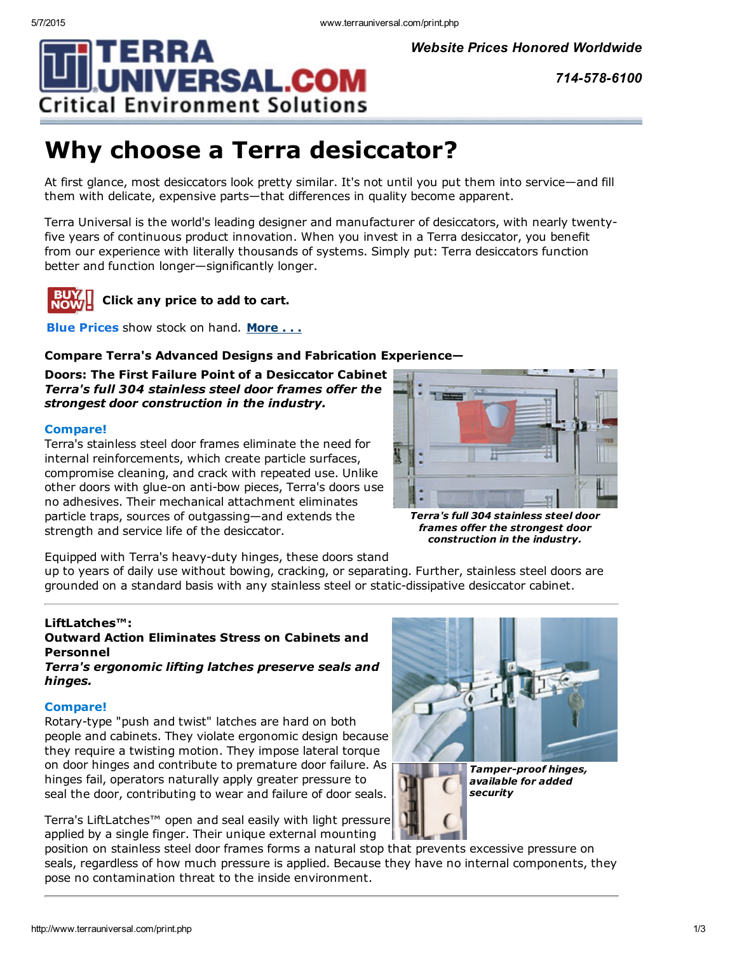*Website Prices Honored Worldwide*

*7145786100*

# Why choose a Terra desiccator?

**Critical Environment Solutions** 

**NIVERSAL.COM** 

At first glance, most desiccators look pretty similar. It's not until you put them into service—and fill them with delicate, expensive parts—that differences in quality become apparent.

Terra Universal is the world's leading designer and manufacturer of desiccators, with nearly twentyfive years of continuous product innovation. When you invest in a Terra desiccator, you benefit from our experience with literally thousands of systems. Simply put: Terra desiccators function better and function longer—significantly longer.



## Click any price to add to cart.

Blue Prices show stock on hand. [More](javascript:;) . . .

### Compare Terra's Advanced Designs and Fabrication Experience—

Doors: The First Failure Point of a Desiccator Cabinet *Terra's full 304 stainless steel door frames offer the strongest door construction in the industry.*

#### Compare!

Terra's stainless steel door frames eliminate the need for internal reinforcements, which create particle surfaces, compromise cleaning, and crack with repeated use. Unlike other doors with glue-on anti-bow pieces, Terra's doors use no adhesives. Their mechanical attachment eliminates particle traps, sources of outgassing—and extends the strength and service life of the desiccator.



*Terra's full 304 stainless steel door frames offer the strongest door construction in the industry.*

Equipped with Terra's heavy-duty hinges, these doors stand up to years of daily use without bowing, cracking, or separating. Further, stainless steel doors are

grounded on a standard basis with any stainless steel or static-dissipative desiccator cabinet.

### LiftLatches™:

### Outward Action Eliminates Stress on Cabinets and Personnel

*Terra's ergonomic lifting latches preserve seals and hinges.*

#### Compare!

Rotary-type "push and twist" latches are hard on both people and cabinets. They violate ergonomic design because they require a twisting motion. They impose lateral torque on door hinges and contribute to premature door failure. As hinges fail, operators naturally apply greater pressure to seal the door, contributing to wear and failure of door seals.

Terra's LiftLatches™ open and seal easily with light pressure applied by a single finger. Their unique external mounting

position on stainless steel door frames forms a natural stop that prevents excessive pressure on seals, regardless of how much pressure is applied. Because they have no internal components, they pose no contamination threat to the inside environment.

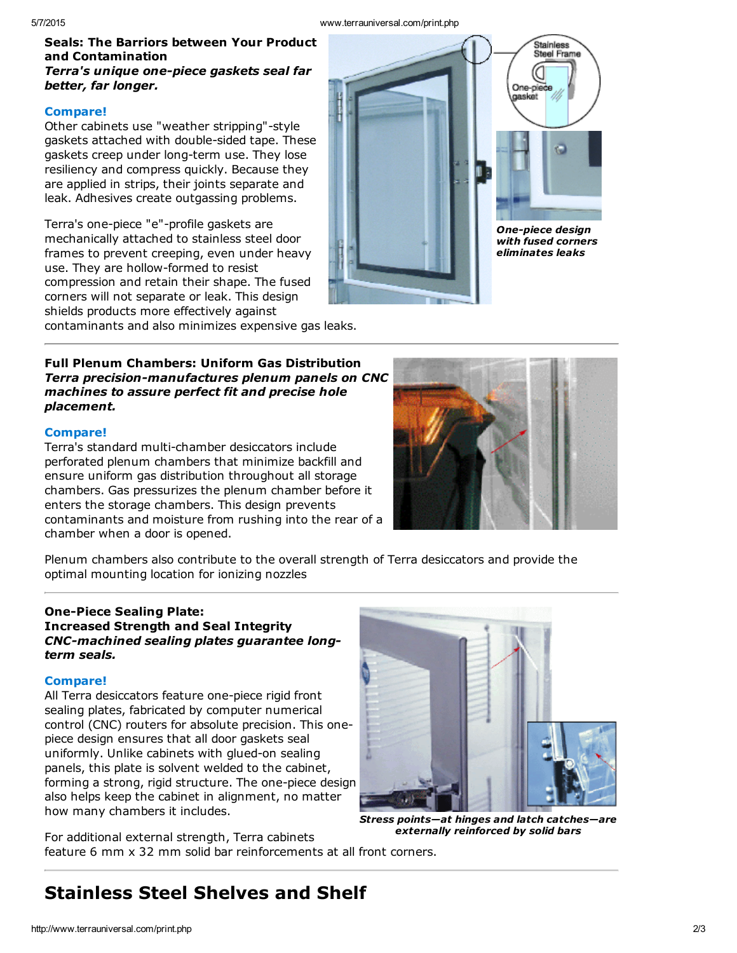#### Seals: The Barriors between Your Product and Contamination *Terra's unique one-piece gaskets seal far better, far longer.*

#### Compare!

Other cabinets use "weather stripping"-style gaskets attached with double-sided tape. These gaskets creep under long-term use. They lose resiliency and compress quickly. Because they are applied in strips, their joints separate and leak. Adhesives create outgassing problems.

Terra's one-piece "e"-profile gaskets are mechanically attached to stainless steel door frames to prevent creeping, even under heavy use. They are hollow-formed to resist compression and retain their shape. The fused corners will not separate or leak. This design shields products more effectively against

contaminants and also minimizes expensive gas leaks.

#### Full Plenum Chambers: Uniform Gas Distribution  $Terra$  *precision-manufactures plenum panels on CNC machines to assure perfect fit and precise hole placement.*

#### Compare!

Terra's standard multi-chamber desiccators include perforated plenum chambers that minimize backfill and ensure uniform gas distribution throughout all storage chambers. Gas pressurizes the plenum chamber before it enters the storage chambers. This design prevents contaminants and moisture from rushing into the rear of a chamber when a door is opened.



**One-piece design** *with fused corners eliminates leaks*

.<br>Stainless Steel Frame

One-piece aasket

Plenum chambers also contribute to the overall strength of Terra desiccators and provide the optimal mounting location for ionizing nozzles

#### **One-Piece Sealing Plate:** Increased Strength and Seal Integrity *CNCmachined sealing plates guarantee longterm seals.*

#### Compare!

All Terra desiccators feature one-piece rigid front sealing plates, fabricated by computer numerical control (CNC) routers for absolute precision. This onepiece design ensures that all door gaskets seal uniformly. Unlike cabinets with glued-on sealing panels, this plate is solvent welded to the cabinet, forming a strong, rigid structure. The one-piece design also helps keep the cabinet in alignment, no matter how many chambers it includes.



*Stress points—at hinges and latch catches—are externally reinforced by solid bars*

For additional external strength, Terra cabinets feature 6 mm x 32 mm solid bar reinforcements at all front corners.

# Stainless Steel Shelves and Shelf